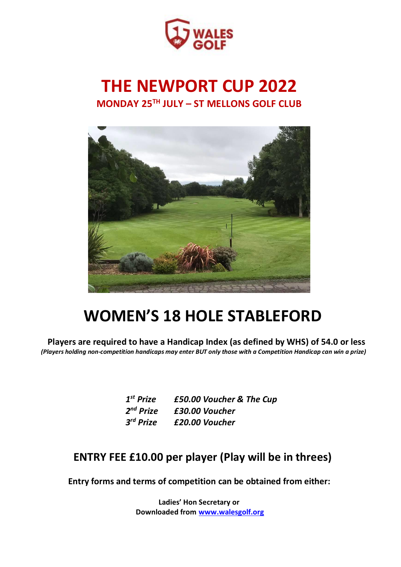

## **THE NEWPORT CUP 2022 MONDAY 25 TH JULY – ST MELLONS GOLF CLUB**



# **WOMEN'S 18 HOLE STABLEFORD**

**Players are required to have a Handicap Index (as defined by WHS) of 54.0 or less** *(Players holding non-competition handicaps may enter BUT only those with a Competition Handicap can win a prize)*

| $1st$ Prize           | £50.00 Voucher & The Cup |
|-----------------------|--------------------------|
| 2 <sup>nd</sup> Prize | £30.00 Voucher           |
| 3 <sup>rd</sup> Prize | £20.00 Voucher           |

### **ENTRY FEE £10.00 per player (Play will be in threes)**

**Entry forms and terms of competition can be obtained from either:**

**Ladies' Hon Secretary or Downloaded from [www.walesgolf.org](http://www.walesgolf.org/)**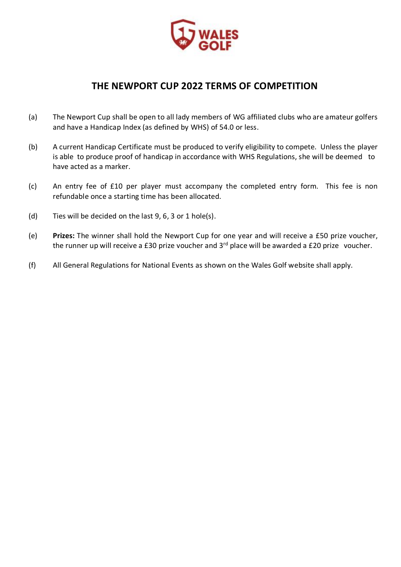

### **THE NEWPORT CUP 2022 TERMS OF COMPETITION**

- (a) The Newport Cup shall be open to all lady members of WG affiliated clubs who are amateur golfers and have a Handicap Index (as defined by WHS) of 54.0 or less.
- (b) A current Handicap Certificate must be produced to verify eligibility to compete. Unless the player is able to produce proof of handicap in accordance with WHS Regulations, she will be deemed to have acted as a marker.
- (c) An entry fee of £10 per player must accompany the completed entry form. This fee is non refundable once a starting time has been allocated.
- (d) Ties will be decided on the last 9, 6, 3 or 1 hole(s).
- (e) **Prizes:** The winner shall hold the Newport Cup for one year and will receive a £50 prize voucher, the runner up will receive a £30 prize voucher and  $3<sup>rd</sup>$  place will be awarded a £20 prize voucher.
- (f) All General Regulations for National Events as shown on the Wales Golf website shall apply.